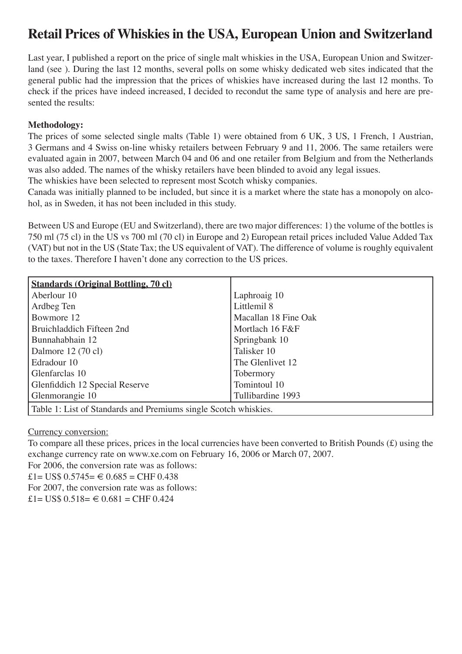# **Retail Prices of Whiskies in the USA, European Union and Switzerland**

Last year, I published a report on the price of single malt whiskies in the USA, European Union and Switzerland (see ). During the last 12 months, several polls on some whisky dedicated web sites indicated that the general public had the impression that the prices of whiskies have increased during the last 12 months. To check if the prices have indeed increased, I decided to recondut the same type of analysis and here are presented the results:

### **Methodology:**

The prices of some selected single malts (Table 1) were obtained from 6 UK, 3 US, 1 French, 1 Austrian, 3 Germans and 4 Swiss on-line whisky retailers between February 9 and 11, 2006. The same retailers were evaluated again in 2007, between March 04 and 06 and one retailer from Belgium and from the Netherlands was also added. The names of the whisky retailers have been blinded to avoid any legal issues.

The whiskies have been selected to represent most Scotch whisky companies.

Canada was initially planned to be included, but since it is a market where the state has a monopoly on alcohol, as in Sweden, it has not been included in this study.

Between US and Europe (EU and Switzerland), there are two major differences: 1) the volume of the bottles is 750 ml (75 cl) in the US vs 700 ml (70 cl) in Europe and 2) European retail prices included Value Added Tax (VAT) but not in the US (State Tax; the US equivalent of VAT). The difference of volume is roughly equivalent to the taxes. Therefore I haven't done any correction to the US prices.

| <b>Standards (Original Bottling, 70 cl)</b>                     |                      |  |  |  |  |
|-----------------------------------------------------------------|----------------------|--|--|--|--|
| Aberlour 10                                                     | Laphroaig 10         |  |  |  |  |
| Ardbeg Ten                                                      | Littlemil 8          |  |  |  |  |
| Bowmore 12                                                      | Macallan 18 Fine Oak |  |  |  |  |
| Bruichladdich Fifteen 2nd                                       | Mortlach 16 F&F      |  |  |  |  |
| Bunnahabhain 12                                                 | Springbank 10        |  |  |  |  |
| Dalmore 12 (70 cl)                                              | Talisker 10          |  |  |  |  |
| Edradour 10                                                     | The Glenlivet 12     |  |  |  |  |
| Glenfarclas 10                                                  | Tobermory            |  |  |  |  |
| Glenfiddich 12 Special Reserve                                  | Tomintoul 10         |  |  |  |  |
| Glenmorangie 10                                                 | Tullibardine 1993    |  |  |  |  |
| Table 1: List of Standards and Premiums single Scotch whiskies. |                      |  |  |  |  |

### Currency conversion:

To compare all these prices, prices in the local currencies have been converted to British Pounds (£) using the exchange currency rate on www.xe.com on February 16, 2006 or March 07, 2007.

For 2006, the conversion rate was as follows:

£1= US\$  $0.5745=$  € 0.685 = CHF 0.438

For 2007, the conversion rate was as follows:

 $£1= US$ 0.518= € 0.681 = CHF 0.424$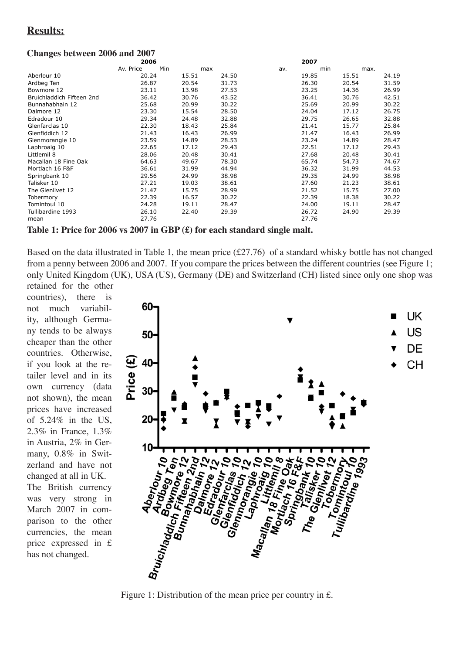# **Results:**

## **Changes between 2006 and 2007**

|                           | 2006      |     |       |       | 2007 |       |       |      |       |
|---------------------------|-----------|-----|-------|-------|------|-------|-------|------|-------|
|                           | Av. Price | Min | max   |       | av.  |       | min   | max. |       |
| Aberlour 10               | 20.24     |     | 15.51 | 24.50 |      | 19.85 | 15.51 |      | 24.19 |
| Ardbeg Ten                | 26.87     |     | 20.54 | 31.73 |      | 26.30 | 20.54 |      | 31.59 |
| Bowmore 12                | 23.11     |     | 13.98 | 27.53 |      | 23.25 | 14.36 |      | 26.99 |
| Bruichladdich Fifteen 2nd | 36.42     |     | 30.76 | 43.52 |      | 36.41 | 30.76 |      | 42.51 |
| Bunnahabhain 12           | 25.68     |     | 20.99 | 30.22 |      | 25.69 | 20.99 |      | 30.22 |
| Dalmore 12                | 23.30     |     | 15.54 | 28.50 |      | 24.04 | 17.12 |      | 26.75 |
| Edradour 10               | 29.34     |     | 24.48 | 32.88 |      | 29.75 | 26.65 |      | 32.88 |
| Glenfarclas 10            | 22.30     |     | 18.43 | 25.84 |      | 21.41 | 15.77 |      | 25.84 |
| Glenfiddich 12            | 21.43     |     | 16.43 | 26.99 |      | 21.47 | 16.43 |      | 26.99 |
| Glenmorangie 10           | 23.59     |     | 14.89 | 28.53 |      | 23.24 | 14.89 |      | 28.47 |
| Laphroaig 10              | 22.65     |     | 17.12 | 29.43 |      | 22.51 | 17.12 |      | 29.43 |
| Littlemil 8               | 28.06     |     | 20.48 | 30.41 |      | 27.68 | 20.48 |      | 30.41 |
| Macallan 18 Fine Oak      | 64.63     |     | 49.67 | 78.30 |      | 65.74 | 54.73 |      | 74.67 |
| Mortlach 16 F&F           | 36.61     |     | 31.99 | 44.94 |      | 36.32 | 31.99 |      | 44.53 |
| Springbank 10             | 29.56     |     | 24.99 | 38.98 |      | 29.35 | 24.99 |      | 38.98 |
| Talisker 10               | 27.21     |     | 19.03 | 38.61 |      | 27.60 | 21.23 |      | 38.61 |
| The Glenlivet 12          | 21.47     |     | 15.75 | 28.99 |      | 21.52 | 15.75 |      | 27.00 |
| Tobermory                 | 22.39     |     | 16.57 | 30.22 |      | 22.39 | 18.38 |      | 30.22 |
| Tomintoul 10              | 24.28     |     | 19.11 | 28.47 |      | 24.00 | 19.11 |      | 28.47 |
| Tullibardine 1993         | 26.10     |     | 22.40 | 29.39 |      | 26.72 | 24.90 |      | 29.39 |
| mean                      | 27.76     |     |       |       |      | 27.76 |       |      |       |

Table 1: Price for 2006 vs 2007 in GBP  $(\text{\pounds})$  for each standard single malt.

Based on the data illustrated in Table 1, the mean price  $(\text{\pounds}27.76)$  of a standard whisky bottle has not changed from a penny between 2006 and 2007. If you compare the prices between the different countries (see Figure 1; only United Kingdom (UK), USA (US), Germany (DE) and Switzerland (CH) listed since only one shop was

retained for the other countries). there  $i_{\rm S}$ not much variability, although Germany tends to be always cheaper than the other countries. Otherwise. if you look at the retailer level and in its own currency (data not shown), the mean prices have increased of  $5.24\%$  in the US, 2.3% in France, 1.3% in Austria, 2% in Germany, 0.8% in Switzerland and have not changed at all in UK. The British currency was very strong in March 2007 in comparison to the other currencies, the mean price expressed in £ has not changed.



Figure 1: Distribution of the mean price per country in £.